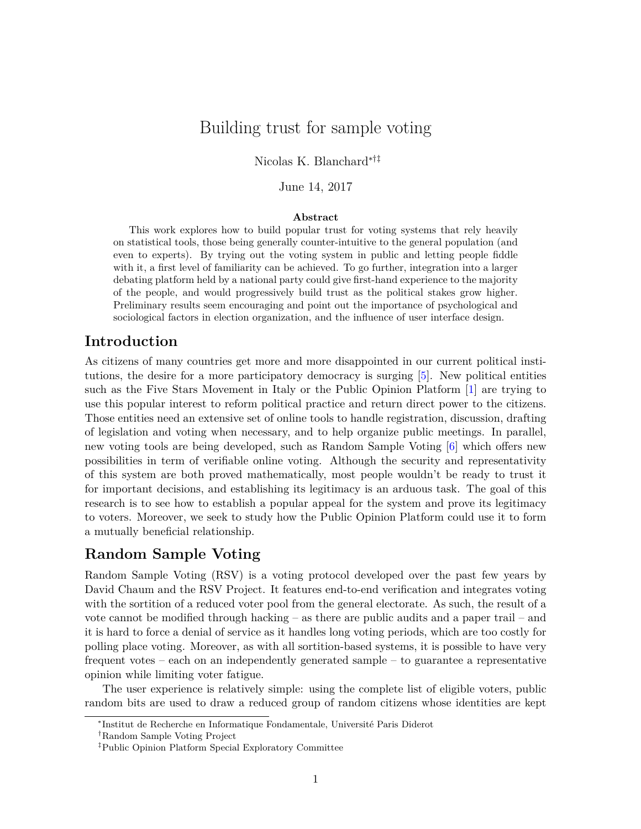# Building trust for sample voting

Nicolas K. Blanchard∗†‡

June 14, 2017

#### **Abstract**

This work explores how to build popular trust for voting systems that rely heavily on statistical tools, those being generally counter-intuitive to the general population (and even to experts). By trying out the voting system in public and letting people fiddle with it, a first level of familiarity can be achieved. To go further, integration into a larger debating platform held by a national party could give first-hand experience to the majority of the people, and would progressively build trust as the political stakes grow higher. Preliminary results seem encouraging and point out the importance of psychological and sociological factors in election organization, and the influence of user interface design.

## **Introduction**

As citizens of many countries get more and more disappointed in our current political institutions, the desire for a more participatory democracy is surging [\[5\]](#page-3-0). New political entities such as the Five Stars Movement in Italy or the Public Opinion Platform [\[1\]](#page-3-1) are trying to use this popular interest to reform political practice and return direct power to the citizens. Those entities need an extensive set of online tools to handle registration, discussion, drafting of legislation and voting when necessary, and to help organize public meetings. In parallel, new voting tools are being developed, such as Random Sample Voting [\[6\]](#page-3-2) which offers new possibilities in term of verifiable online voting. Although the security and representativity of this system are both proved mathematically, most people wouldn't be ready to trust it for important decisions, and establishing its legitimacy is an arduous task. The goal of this research is to see how to establish a popular appeal for the system and prove its legitimacy to voters. Moreover, we seek to study how the Public Opinion Platform could use it to form a mutually beneficial relationship.

### **Random Sample Voting**

Random Sample Voting (RSV) is a voting protocol developed over the past few years by David Chaum and the RSV Project. It features end-to-end verification and integrates voting with the sortition of a reduced voter pool from the general electorate. As such, the result of a vote cannot be modified through hacking – as there are public audits and a paper trail – and it is hard to force a denial of service as it handles long voting periods, which are too costly for polling place voting. Moreover, as with all sortition-based systems, it is possible to have very frequent votes – each on an independently generated sample – to guarantee a representative opinion while limiting voter fatigue.

The user experience is relatively simple: using the complete list of eligible voters, public random bits are used to draw a reduced group of random citizens whose identities are kept

<sup>\*</sup>Institut de Recherche en Informatique Fondamentale, Université Paris Diderot

<sup>†</sup>Random Sample Voting Project

<sup>‡</sup>Public Opinion Platform Special Exploratory Committee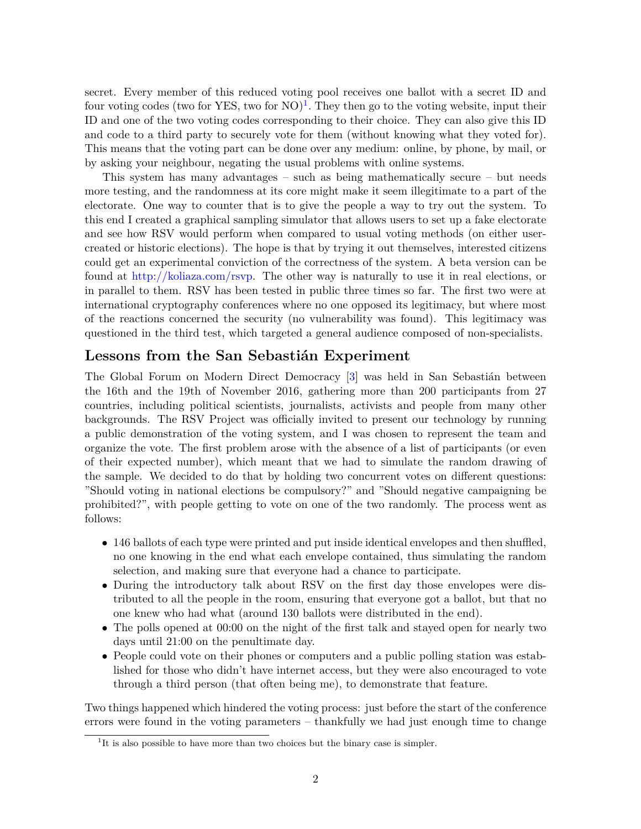secret. Every member of this reduced voting pool receives one ballot with a secret ID and four voting codes (two for YES, two for  $NO)^1$  $NO)^1$ . They then go to the voting website, input their ID and one of the two voting codes corresponding to their choice. They can also give this ID and code to a third party to securely vote for them (without knowing what they voted for). This means that the voting part can be done over any medium: online, by phone, by mail, or by asking your neighbour, negating the usual problems with online systems.

This system has many advantages – such as being mathematically secure – but needs more testing, and the randomness at its core might make it seem illegitimate to a part of the electorate. One way to counter that is to give the people a way to try out the system. To this end I created a graphical sampling simulator that allows users to set up a fake electorate and see how RSV would perform when compared to usual voting methods (on either usercreated or historic elections). The hope is that by trying it out themselves, interested citizens could get an experimental conviction of the correctness of the system. A beta version can be found at [http://koliaza.com/rsvp.](http://koliaza.com/rsvp) The other way is naturally to use it in real elections, or in parallel to them. RSV has been tested in public three times so far. The first two were at international cryptography conferences where no one opposed its legitimacy, but where most of the reactions concerned the security (no vulnerability was found). This legitimacy was questioned in the third test, which targeted a general audience composed of non-specialists.

## Lessons from the San Sebastián Experiment

The Global Forum on Modern Direct Democracy [\[3\]](#page-3-3) was held in San Sebastián between the 16th and the 19th of November 2016, gathering more than 200 participants from 27 countries, including political scientists, journalists, activists and people from many other backgrounds. The RSV Project was officially invited to present our technology by running a public demonstration of the voting system, and I was chosen to represent the team and organize the vote. The first problem arose with the absence of a list of participants (or even of their expected number), which meant that we had to simulate the random drawing of the sample. We decided to do that by holding two concurrent votes on different questions: "Should voting in national elections be compulsory?" and "Should negative campaigning be prohibited?", with people getting to vote on one of the two randomly. The process went as follows:

- 146 ballots of each type were printed and put inside identical envelopes and then shuffled, no one knowing in the end what each envelope contained, thus simulating the random selection, and making sure that everyone had a chance to participate.
- During the introductory talk about RSV on the first day those envelopes were distributed to all the people in the room, ensuring that everyone got a ballot, but that no one knew who had what (around 130 ballots were distributed in the end).
- The polls opened at 00:00 on the night of the first talk and stayed open for nearly two days until 21:00 on the penultimate day.
- People could vote on their phones or computers and a public polling station was established for those who didn't have internet access, but they were also encouraged to vote through a third person (that often being me), to demonstrate that feature.

Two things happened which hindered the voting process: just before the start of the conference errors were found in the voting parameters – thankfully we had just enough time to change

<span id="page-1-0"></span><sup>&</sup>lt;sup>1</sup>It is also possible to have more than two choices but the binary case is simpler.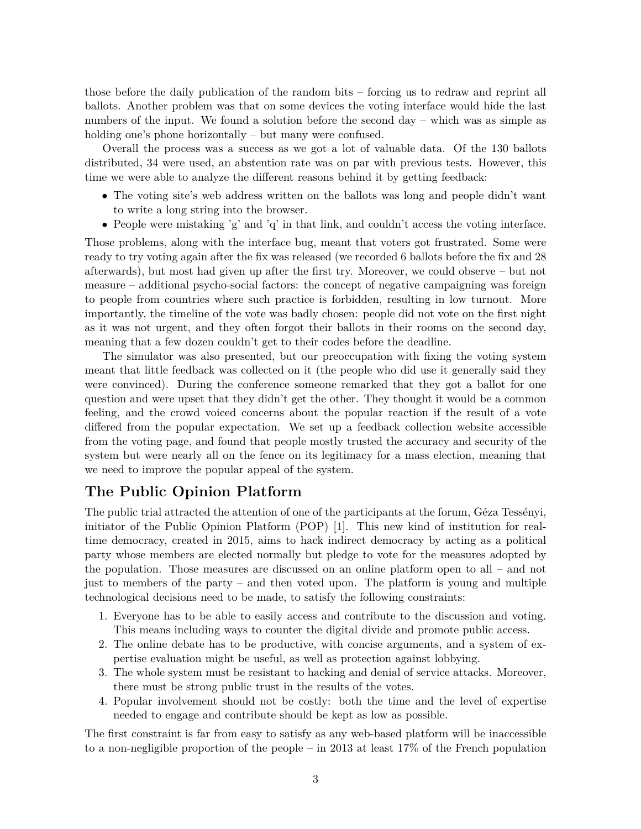those before the daily publication of the random bits – forcing us to redraw and reprint all ballots. Another problem was that on some devices the voting interface would hide the last numbers of the input. We found a solution before the second day – which was as simple as holding one's phone horizontally – but many were confused.

Overall the process was a success as we got a lot of valuable data. Of the 130 ballots distributed, 34 were used, an abstention rate was on par with previous tests. However, this time we were able to analyze the different reasons behind it by getting feedback:

- The voting site's web address written on the ballots was long and people didn't want to write a long string into the browser.
- People were mistaking 'g' and 'q' in that link, and couldn't access the voting interface.

Those problems, along with the interface bug, meant that voters got frustrated. Some were ready to try voting again after the fix was released (we recorded 6 ballots before the fix and 28 afterwards), but most had given up after the first try. Moreover, we could observe – but not measure – additional psycho-social factors: the concept of negative campaigning was foreign to people from countries where such practice is forbidden, resulting in low turnout. More importantly, the timeline of the vote was badly chosen: people did not vote on the first night as it was not urgent, and they often forgot their ballots in their rooms on the second day, meaning that a few dozen couldn't get to their codes before the deadline.

The simulator was also presented, but our preoccupation with fixing the voting system meant that little feedback was collected on it (the people who did use it generally said they were convinced). During the conference someone remarked that they got a ballot for one question and were upset that they didn't get the other. They thought it would be a common feeling, and the crowd voiced concerns about the popular reaction if the result of a vote differed from the popular expectation. We set up a feedback collection website accessible from the voting page, and found that people mostly trusted the accuracy and security of the system but were nearly all on the fence on its legitimacy for a mass election, meaning that we need to improve the popular appeal of the system.

## **The Public Opinion Platform**

The public trial attracted the attention of one of the participants at the forum, Géza Tessényi, initiator of the Public Opinion Platform (POP) [\[1\]](#page-3-1). This new kind of institution for realtime democracy, created in 2015, aims to hack indirect democracy by acting as a political party whose members are elected normally but pledge to vote for the measures adopted by the population. Those measures are discussed on an online platform open to all – and not just to members of the party – and then voted upon. The platform is young and multiple technological decisions need to be made, to satisfy the following constraints:

- 1. Everyone has to be able to easily access and contribute to the discussion and voting. This means including ways to counter the digital divide and promote public access.
- 2. The online debate has to be productive, with concise arguments, and a system of expertise evaluation might be useful, as well as protection against lobbying.
- 3. The whole system must be resistant to hacking and denial of service attacks. Moreover, there must be strong public trust in the results of the votes.
- 4. Popular involvement should not be costly: both the time and the level of expertise needed to engage and contribute should be kept as low as possible.

The first constraint is far from easy to satisfy as any web-based platform will be inaccessible to a non-negligible proportion of the people – in 2013 at least 17% of the French population